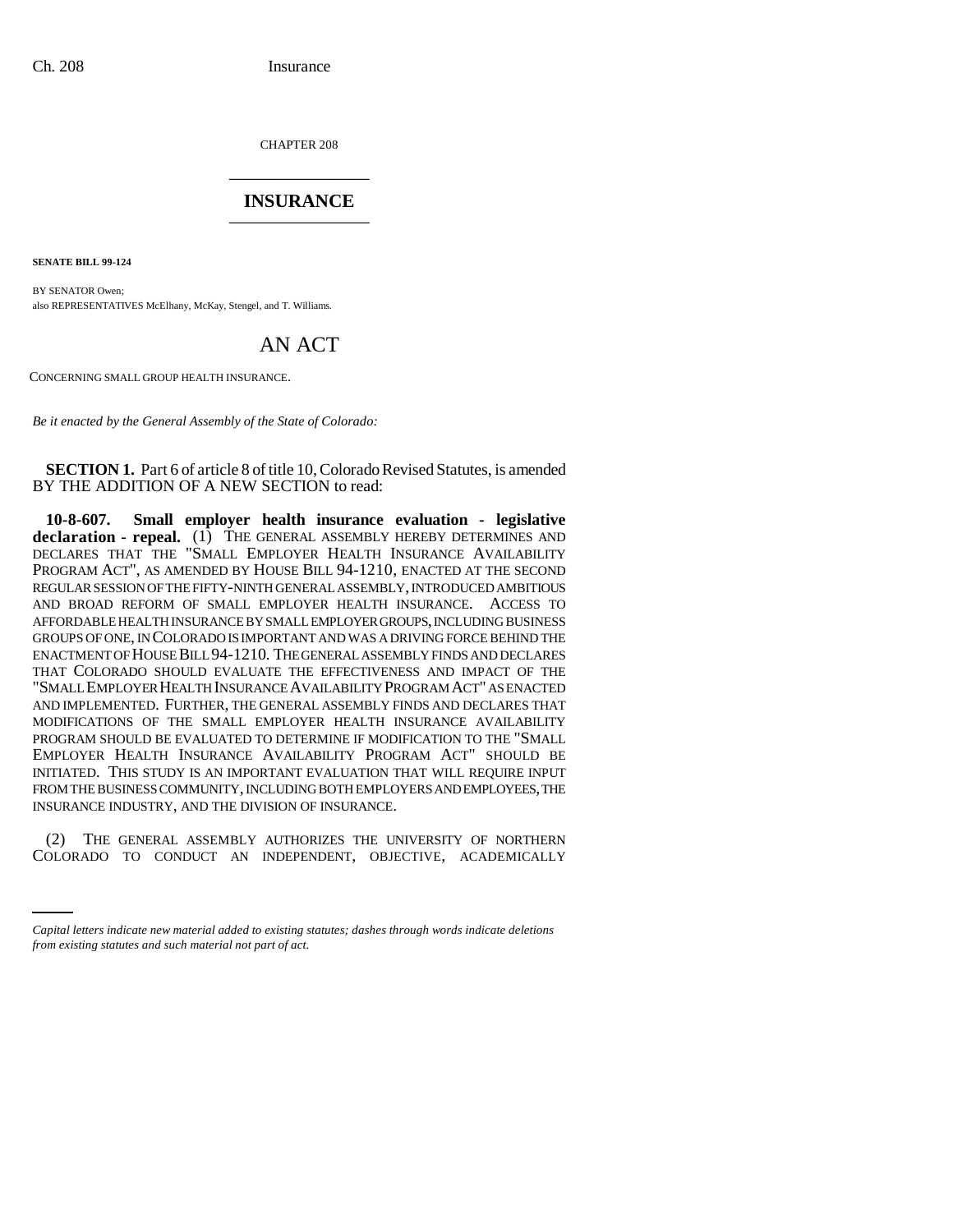CHAPTER 208 \_\_\_\_\_\_\_\_\_\_\_\_\_\_\_

## **INSURANCE** \_\_\_\_\_\_\_\_\_\_\_\_\_\_\_

**SENATE BILL 99-124** 

BY SENATOR Owen; also REPRESENTATIVES McElhany, McKay, Stengel, and T. Williams.

## AN ACT

CONCERNING SMALL GROUP HEALTH INSURANCE.

*Be it enacted by the General Assembly of the State of Colorado:*

**SECTION 1.** Part 6 of article 8 of title 10, Colorado Revised Statutes, is amended BY THE ADDITION OF A NEW SECTION to read:

**10-8-607. Small employer health insurance evaluation - legislative declaration - repeal.** (1) THE GENERAL ASSEMBLY HEREBY DETERMINES AND DECLARES THAT THE "SMALL EMPLOYER HEALTH INSURANCE AVAILABILITY PROGRAM ACT", AS AMENDED BY HOUSE BILL 94-1210, ENACTED AT THE SECOND REGULAR SESSION OF THE FIFTY-NINTH GENERAL ASSEMBLY, INTRODUCED AMBITIOUS AND BROAD REFORM OF SMALL EMPLOYER HEALTH INSURANCE. ACCESS TO AFFORDABLE HEALTH INSURANCE BY SMALL EMPLOYER GROUPS, INCLUDING BUSINESS GROUPS OF ONE, IN COLORADO IS IMPORTANT AND WAS A DRIVING FORCE BEHIND THE ENACTMENT OF HOUSE BILL 94-1210. THE GENERAL ASSEMBLY FINDS AND DECLARES THAT COLORADO SHOULD EVALUATE THE EFFECTIVENESS AND IMPACT OF THE "SMALL EMPLOYER HEALTH INSURANCE AVAILABILITY PROGRAM ACT" AS ENACTED AND IMPLEMENTED. FURTHER, THE GENERAL ASSEMBLY FINDS AND DECLARES THAT MODIFICATIONS OF THE SMALL EMPLOYER HEALTH INSURANCE AVAILABILITY PROGRAM SHOULD BE EVALUATED TO DETERMINE IF MODIFICATION TO THE "SMALL EMPLOYER HEALTH INSURANCE AVAILABILITY PROGRAM ACT" SHOULD BE INITIATED. THIS STUDY IS AN IMPORTANT EVALUATION THAT WILL REQUIRE INPUT FROM THE BUSINESS COMMUNITY, INCLUDING BOTH EMPLOYERS AND EMPLOYEES, THE INSURANCE INDUSTRY, AND THE DIVISION OF INSURANCE.

(2) THE GENERAL ASSEMBLY AUTHORIZES THE UNIVERSITY OF NORTHERN COLORADO TO CONDUCT AN INDEPENDENT, OBJECTIVE, ACADEMICALLY

*Capital letters indicate new material added to existing statutes; dashes through words indicate deletions from existing statutes and such material not part of act.*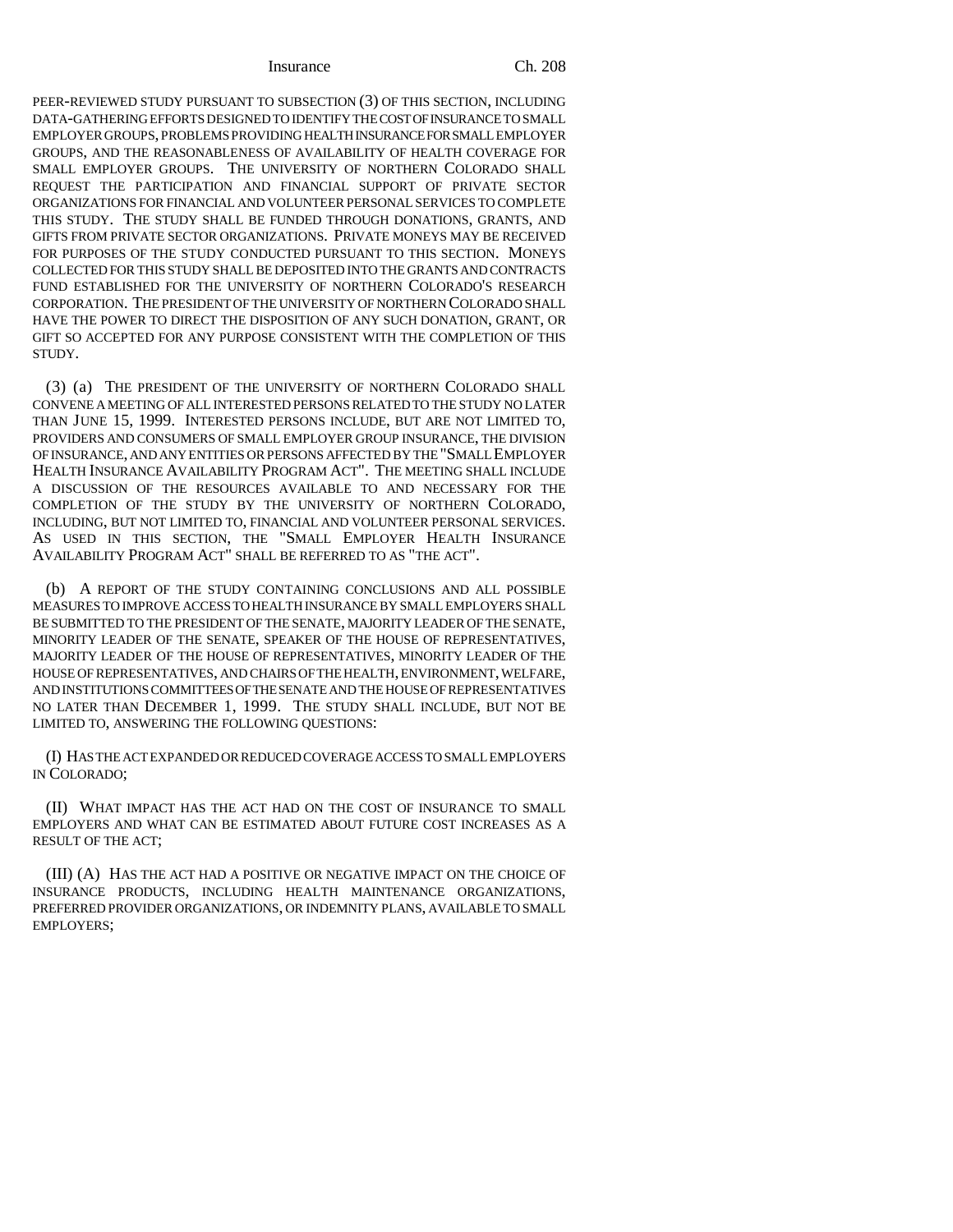## Insurance Ch. 208

PEER-REVIEWED STUDY PURSUANT TO SUBSECTION (3) OF THIS SECTION, INCLUDING DATA-GATHERING EFFORTS DESIGNED TO IDENTIFY THE COST OF INSURANCE TO SMALL EMPLOYER GROUPS, PROBLEMS PROVIDING HEALTH INSURANCE FOR SMALL EMPLOYER GROUPS, AND THE REASONABLENESS OF AVAILABILITY OF HEALTH COVERAGE FOR SMALL EMPLOYER GROUPS. THE UNIVERSITY OF NORTHERN COLORADO SHALL REQUEST THE PARTICIPATION AND FINANCIAL SUPPORT OF PRIVATE SECTOR ORGANIZATIONS FOR FINANCIAL AND VOLUNTEER PERSONAL SERVICES TO COMPLETE THIS STUDY. THE STUDY SHALL BE FUNDED THROUGH DONATIONS, GRANTS, AND GIFTS FROM PRIVATE SECTOR ORGANIZATIONS. PRIVATE MONEYS MAY BE RECEIVED FOR PURPOSES OF THE STUDY CONDUCTED PURSUANT TO THIS SECTION. MONEYS COLLECTED FOR THIS STUDY SHALL BE DEPOSITED INTO THE GRANTS AND CONTRACTS FUND ESTABLISHED FOR THE UNIVERSITY OF NORTHERN COLORADO'S RESEARCH CORPORATION. THE PRESIDENT OF THE UNIVERSITY OF NORTHERN COLORADO SHALL HAVE THE POWER TO DIRECT THE DISPOSITION OF ANY SUCH DONATION, GRANT, OR GIFT SO ACCEPTED FOR ANY PURPOSE CONSISTENT WITH THE COMPLETION OF THIS STUDY.

(3) (a) THE PRESIDENT OF THE UNIVERSITY OF NORTHERN COLORADO SHALL CONVENE A MEETING OF ALL INTERESTED PERSONS RELATED TO THE STUDY NO LATER THAN JUNE 15, 1999. INTERESTED PERSONS INCLUDE, BUT ARE NOT LIMITED TO, PROVIDERS AND CONSUMERS OF SMALL EMPLOYER GROUP INSURANCE, THE DIVISION OF INSURANCE, AND ANY ENTITIES OR PERSONS AFFECTED BY THE "SMALL EMPLOYER HEALTH INSURANCE AVAILABILITY PROGRAM ACT". THE MEETING SHALL INCLUDE A DISCUSSION OF THE RESOURCES AVAILABLE TO AND NECESSARY FOR THE COMPLETION OF THE STUDY BY THE UNIVERSITY OF NORTHERN COLORADO, INCLUDING, BUT NOT LIMITED TO, FINANCIAL AND VOLUNTEER PERSONAL SERVICES. AS USED IN THIS SECTION, THE "SMALL EMPLOYER HEALTH INSURANCE AVAILABILITY PROGRAM ACT" SHALL BE REFERRED TO AS "THE ACT".

(b) A REPORT OF THE STUDY CONTAINING CONCLUSIONS AND ALL POSSIBLE MEASURES TO IMPROVE ACCESS TO HEALTH INSURANCE BY SMALL EMPLOYERS SHALL BE SUBMITTED TO THE PRESIDENT OF THE SENATE, MAJORITY LEADER OF THE SENATE, MINORITY LEADER OF THE SENATE, SPEAKER OF THE HOUSE OF REPRESENTATIVES, MAJORITY LEADER OF THE HOUSE OF REPRESENTATIVES, MINORITY LEADER OF THE HOUSE OF REPRESENTATIVES, AND CHAIRS OF THE HEALTH, ENVIRONMENT, WELFARE, AND INSTITUTIONS COMMITTEES OF THE SENATE AND THE HOUSE OF REPRESENTATIVES NO LATER THAN DECEMBER 1, 1999. THE STUDY SHALL INCLUDE, BUT NOT BE LIMITED TO, ANSWERING THE FOLLOWING QUESTIONS:

(I) HAS THE ACT EXPANDED OR REDUCED COVERAGE ACCESS TO SMALL EMPLOYERS IN COLORADO;

(II) WHAT IMPACT HAS THE ACT HAD ON THE COST OF INSURANCE TO SMALL EMPLOYERS AND WHAT CAN BE ESTIMATED ABOUT FUTURE COST INCREASES AS A RESULT OF THE ACT;

(III) (A) HAS THE ACT HAD A POSITIVE OR NEGATIVE IMPACT ON THE CHOICE OF INSURANCE PRODUCTS, INCLUDING HEALTH MAINTENANCE ORGANIZATIONS, PREFERRED PROVIDER ORGANIZATIONS, OR INDEMNITY PLANS, AVAILABLE TO SMALL EMPLOYERS;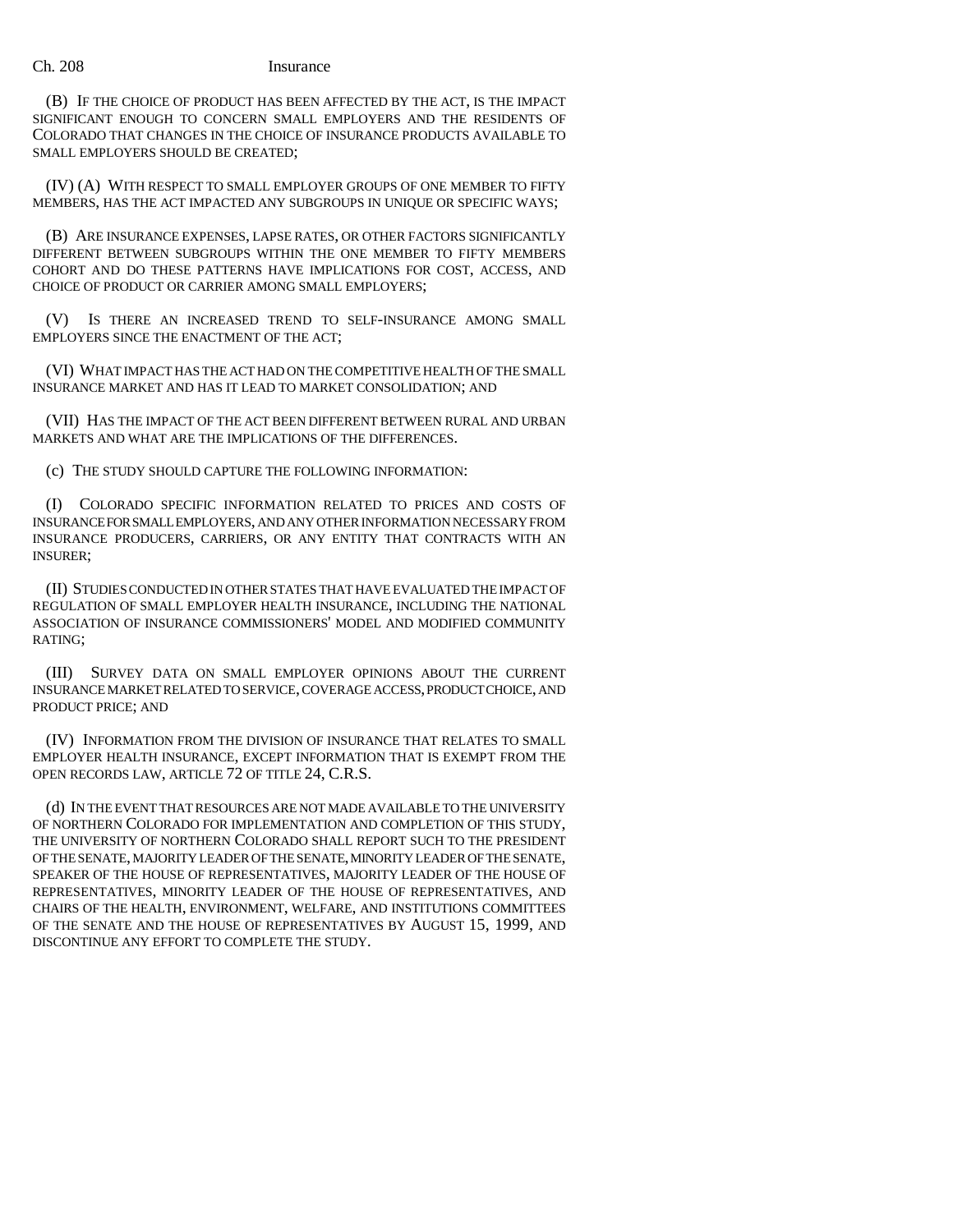## Ch. 208 Insurance

(B) IF THE CHOICE OF PRODUCT HAS BEEN AFFECTED BY THE ACT, IS THE IMPACT SIGNIFICANT ENOUGH TO CONCERN SMALL EMPLOYERS AND THE RESIDENTS OF COLORADO THAT CHANGES IN THE CHOICE OF INSURANCE PRODUCTS AVAILABLE TO SMALL EMPLOYERS SHOULD BE CREATED;

(IV) (A) WITH RESPECT TO SMALL EMPLOYER GROUPS OF ONE MEMBER TO FIFTY MEMBERS, HAS THE ACT IMPACTED ANY SUBGROUPS IN UNIQUE OR SPECIFIC WAYS;

(B) ARE INSURANCE EXPENSES, LAPSE RATES, OR OTHER FACTORS SIGNIFICANTLY DIFFERENT BETWEEN SUBGROUPS WITHIN THE ONE MEMBER TO FIFTY MEMBERS COHORT AND DO THESE PATTERNS HAVE IMPLICATIONS FOR COST, ACCESS, AND CHOICE OF PRODUCT OR CARRIER AMONG SMALL EMPLOYERS;

(V) IS THERE AN INCREASED TREND TO SELF-INSURANCE AMONG SMALL EMPLOYERS SINCE THE ENACTMENT OF THE ACT;

(VI) WHAT IMPACT HAS THE ACT HAD ON THE COMPETITIVE HEALTH OF THE SMALL INSURANCE MARKET AND HAS IT LEAD TO MARKET CONSOLIDATION; AND

(VII) HAS THE IMPACT OF THE ACT BEEN DIFFERENT BETWEEN RURAL AND URBAN MARKETS AND WHAT ARE THE IMPLICATIONS OF THE DIFFERENCES.

(c) THE STUDY SHOULD CAPTURE THE FOLLOWING INFORMATION:

(I) COLORADO SPECIFIC INFORMATION RELATED TO PRICES AND COSTS OF INSURANCE FOR SMALL EMPLOYERS, AND ANY OTHER INFORMATION NECESSARY FROM INSURANCE PRODUCERS, CARRIERS, OR ANY ENTITY THAT CONTRACTS WITH AN INSURER;

(II) STUDIES CONDUCTED IN OTHER STATES THAT HAVE EVALUATED THE IMPACT OF REGULATION OF SMALL EMPLOYER HEALTH INSURANCE, INCLUDING THE NATIONAL ASSOCIATION OF INSURANCE COMMISSIONERS' MODEL AND MODIFIED COMMUNITY RATING;

(III) SURVEY DATA ON SMALL EMPLOYER OPINIONS ABOUT THE CURRENT INSURANCE MARKET RELATED TO SERVICE, COVERAGE ACCESS, PRODUCT CHOICE, AND PRODUCT PRICE; AND

(IV) INFORMATION FROM THE DIVISION OF INSURANCE THAT RELATES TO SMALL EMPLOYER HEALTH INSURANCE, EXCEPT INFORMATION THAT IS EXEMPT FROM THE OPEN RECORDS LAW, ARTICLE 72 OF TITLE 24, C.R.S.

(d) IN THE EVENT THAT RESOURCES ARE NOT MADE AVAILABLE TO THE UNIVERSITY OF NORTHERN COLORADO FOR IMPLEMENTATION AND COMPLETION OF THIS STUDY, THE UNIVERSITY OF NORTHERN COLORADO SHALL REPORT SUCH TO THE PRESIDENT OF THE SENATE, MAJORITY LEADER OF THE SENATE, MINORITY LEADER OF THE SENATE, SPEAKER OF THE HOUSE OF REPRESENTATIVES, MAJORITY LEADER OF THE HOUSE OF REPRESENTATIVES, MINORITY LEADER OF THE HOUSE OF REPRESENTATIVES, AND CHAIRS OF THE HEALTH, ENVIRONMENT, WELFARE, AND INSTITUTIONS COMMITTEES OF THE SENATE AND THE HOUSE OF REPRESENTATIVES BY AUGUST 15, 1999, AND DISCONTINUE ANY EFFORT TO COMPLETE THE STUDY.